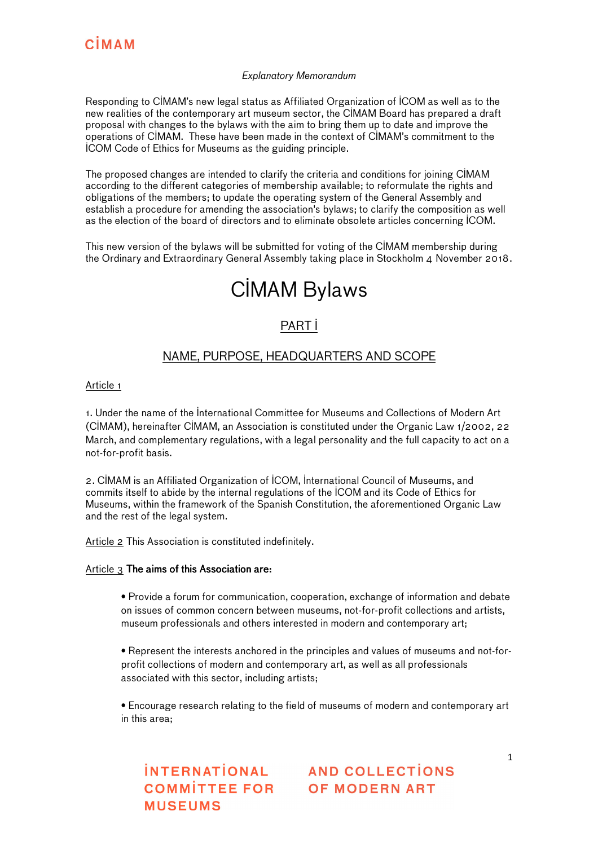#### Explanatory Memorandum

Responding to CIMAM's new legal status as Affiliated Organization of ICOM as well as to the new realities of the contemporary art museum sector, the CIMAM Board has prepared a draft proposal with changes to the bylaws with the aim to bring them up to date and improve the operations of CIMAM. These have been made in the context of CIMAM's commitment to the ICOM Code of Ethics for Museums as the guiding principle.

The proposed changes are intended to clarify the criteria and conditions for joining CIMAM according to the different categories of membership available; to reformulate the rights and obligations of the members; to update the operating system of the General Assembly and establish a procedure for amending the association's bylaws; to clarify the composition as well as the election of the board of directors and to eliminate obsolete articles concerning ICOM.

This new version of the bylaws will be submitted for voting of the CIMAM membership during the Ordinary and Extraordinary General Assembly taking place in Stockholm 4 November 2018.

## CIMAM Bylaws

### PART I

#### NAME, PURPOSE, HEADQUARTERS AND SCOPE

#### Article 1

1. Under the name of the International Committee for Museums and Collections of Modern Art (CIMAM), hereinafter CIMAM, an Association is constituted under the Organic Law 1/2002, 22 March, and complementary regulations, with a legal personality and the full capacity to act on a not-for-profit basis.

2. CIMAM is an Affiliated Organization of ICOM, International Council of Museums, and commits itself to abide by the internal regulations of the ICOM and its Code of Ethics for Museums, within the framework of the Spanish Constitution, the aforementioned Organic Law and the rest of the legal system.

Article 2 This Association is constituted indefinitely.

#### Article 3 The aims of this Association are:

• Provide a forum for communication, cooperation, exchange of information and debate on issues of common concern between museums, not-for-profit collections and artists, museum professionals and others interested in modern and contemporary art;

• Represent the interests anchored in the principles and values of museums and not-forprofit collections of modern and contemporary art, as well as all professionals associated with this sector, including artists;

• Encourage research relating to the field of museums of modern and contemporary art in this area;

**MUSEUMS**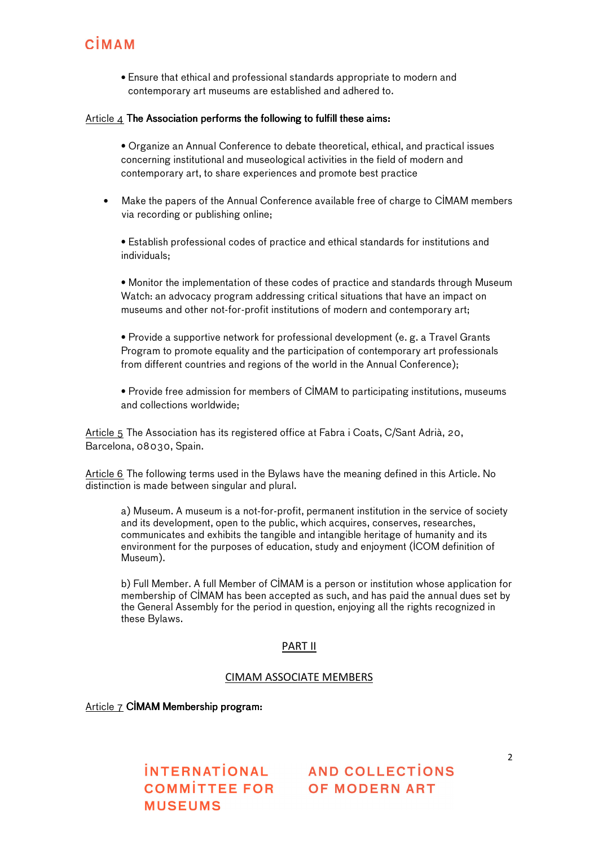• Ensure that ethical and professional standards appropriate to modern and contemporary art museums are established and adhered to.

#### Article  $\Delta$  The Association performs the following to fulfill these aims:

• Organize an Annual Conference to debate theoretical, ethical, and practical issues concerning institutional and museological activities in the field of modern and contemporary art, to share experiences and promote best practice

• Make the papers of the Annual Conference available free of charge to CIMAM members via recording or publishing online;

• Establish professional codes of practice and ethical standards for institutions and individuals;

• Monitor the implementation of these codes of practice and standards through Museum Watch: an advocacy program addressing critical situations that have an impact on museums and other not-for-profit institutions of modern and contemporary art;

• Provide a supportive network for professional development (e. g. a Travel Grants Program to promote equality and the participation of contemporary art professionals from different countries and regions of the world in the Annual Conference);

• Provide free admission for members of CIMAM to participating institutions, museums and collections worldwide;

Article 5 The Association has its registered office at Fabra i Coats, C/Sant Adrià, 20, Barcelona, 08030, Spain.

Article 6 The following terms used in the Bylaws have the meaning defined in this Article. No distinction is made between singular and plural.

a) Museum. A museum is a not-for-profit, permanent institution in the service of society and its development, open to the public, which acquires, conserves, researches, communicates and exhibits the tangible and intangible heritage of humanity and its environment for the purposes of education, study and enjoyment (ICOM definition of Museum).

b) Full Member. A full Member of CIMAM is a person or institution whose application for membership of CIMAM has been accepted as such, and has paid the annual dues set by the General Assembly for the period in question, enjoying all the rights recognized in these Bylaws.

#### PART II

#### CIMAM ASSOCIATE MEMBERS

Article  $7$  CIMAM Membership program:

**MUSEUMS**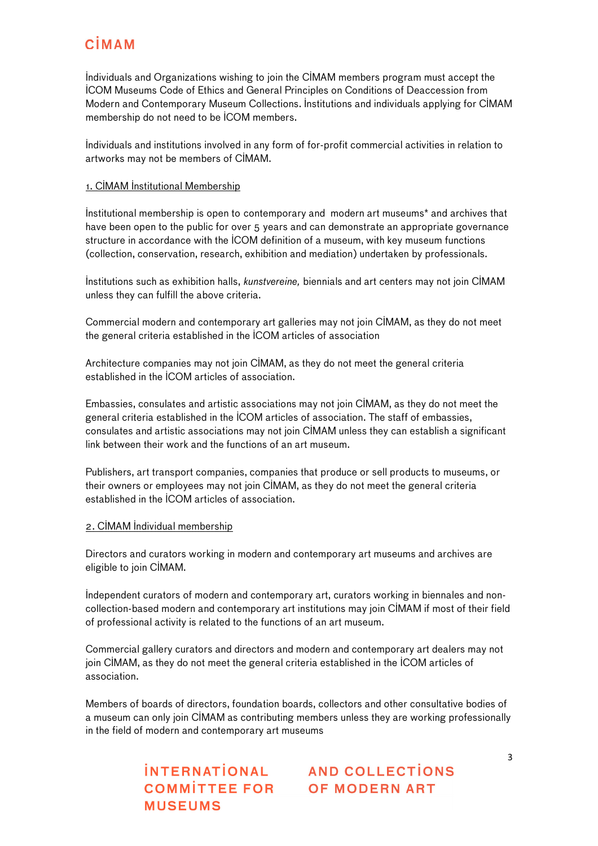Individuals and Organizations wishing to join the CIMAM members program must accept the ICOM Museums Code of Ethics and General Principles on Conditions of Deaccession from Modern and Contemporary Museum Collections. Institutions and individuals applying for CIMAM membership do not need to be ICOM members.

Individuals and institutions involved in any form of for-profit commercial activities in relation to artworks may not be members of CIMAM.

#### 1. CIMAM Institutional Membership

Institutional membership is open to contemporary and modern art museums\* and archives that have been open to the public for over 5 years and can demonstrate an appropriate governance structure in accordance with the ICOM definition of a museum, with key museum functions (collection, conservation, research, exhibition and mediation) undertaken by professionals.

Institutions such as exhibition halls, kunstvereine, biennials and art centers may not join CIMAM unless they can fulfill the above criteria.

Commercial modern and contemporary art galleries may not join CIMAM, as they do not meet the general criteria established in the ICOM articles of association

Architecture companies may not join CIMAM, as they do not meet the general criteria established in the ICOM articles of association.

Embassies, consulates and artistic associations may not join CIMAM, as they do not meet the general criteria established in the ICOM articles of association. The staff of embassies, consulates and artistic associations may not join CIMAM unless they can establish a significant link between their work and the functions of an art museum.

Publishers, art transport companies, companies that produce or sell products to museums, or their owners or employees may not join CIMAM, as they do not meet the general criteria established in the ICOM articles of association.

#### 2. CIMAM Individual membership

Directors and curators working in modern and contemporary art museums and archives are eligible to join CIMAM.

Independent curators of modern and contemporary art, curators working in biennales and noncollection-based modern and contemporary art institutions may join CIMAM if most of their field of professional activity is related to the functions of an art museum.

Commercial gallery curators and directors and modern and contemporary art dealers may not join CIMAM, as they do not meet the general criteria established in the ICOM articles of association.

Members of boards of directors, foundation boards, collectors and other consultative bodies of a museum can only join CIMAM as contributing members unless they are working professionally in the field of modern and contemporary art museums

**MUSEUMS**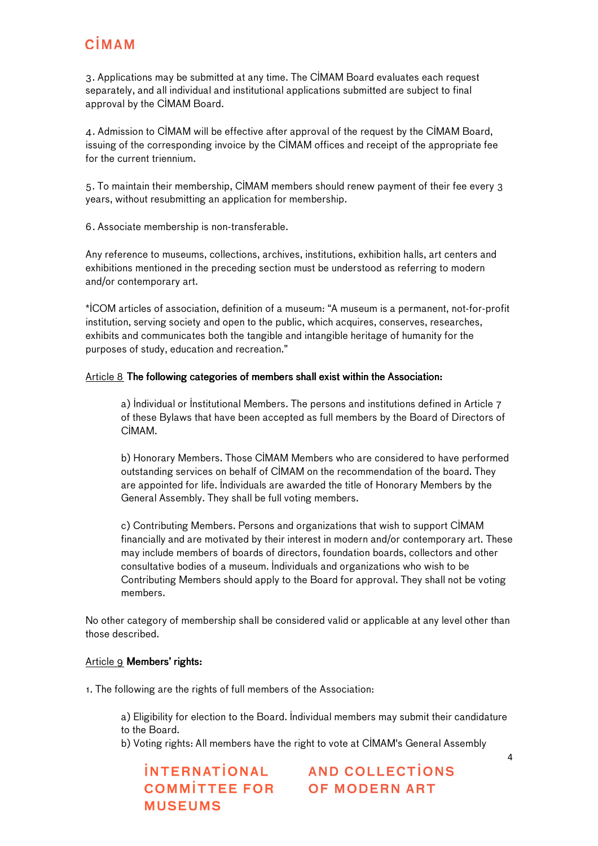3. Applications may be submitted at any time. The CIMAM Board evaluates each request separately, and all individual and institutional applications submitted are subject to final approval by the CIMAM Board.

4. Admission to CIMAM will be effective after approval of the request by the CIMAM Board, issuing of the corresponding invoice by the CIMAM offices and receipt of the appropriate fee for the current triennium.

5. To maintain their membership, CIMAM members should renew payment of their fee every 3 years, without resubmitting an application for membership.

6. Associate membership is non-transferable.

Any reference to museums, collections, archives, institutions, exhibition halls, art centers and exhibitions mentioned in the preceding section must be understood as referring to modern and/or contemporary art.

\*ICOM articles of association, definition of a museum: "A museum is a permanent, not-for-profit institution, serving society and open to the public, which acquires, conserves, researches, exhibits and communicates both the tangible and intangible heritage of humanity for the purposes of study, education and recreation."

#### Article 8 The following categories of members shall exist within the Association:

a) Individual or Institutional Members. The persons and institutions defined in Article 7 of these Bylaws that have been accepted as full members by the Board of Directors of CIMAM.

b) Honorary Members. Those CIMAM Members who are considered to have performed outstanding services on behalf of CIMAM on the recommendation of the board. They are appointed for life. Individuals are awarded the title of Honorary Members by the General Assembly. They shall be full voting members.

c) Contributing Members. Persons and organizations that wish to support CIMAM financially and are motivated by their interest in modern and/or contemporary art. These may include members of boards of directors, foundation boards, collectors and other consultative bodies of a museum. Individuals and organizations who wish to be Contributing Members should apply to the Board for approval. They shall not be voting members.

No other category of membership shall be considered valid or applicable at any level other than those described.

#### Article 9 Members' rights:

1. The following are the rights of full members of the Association:

a) Eligibility for election to the Board. Individual members may submit their candidature to the Board.

b) Voting rights: All members have the right to vote at CIMAM's General Assembly

**MUSEUMS**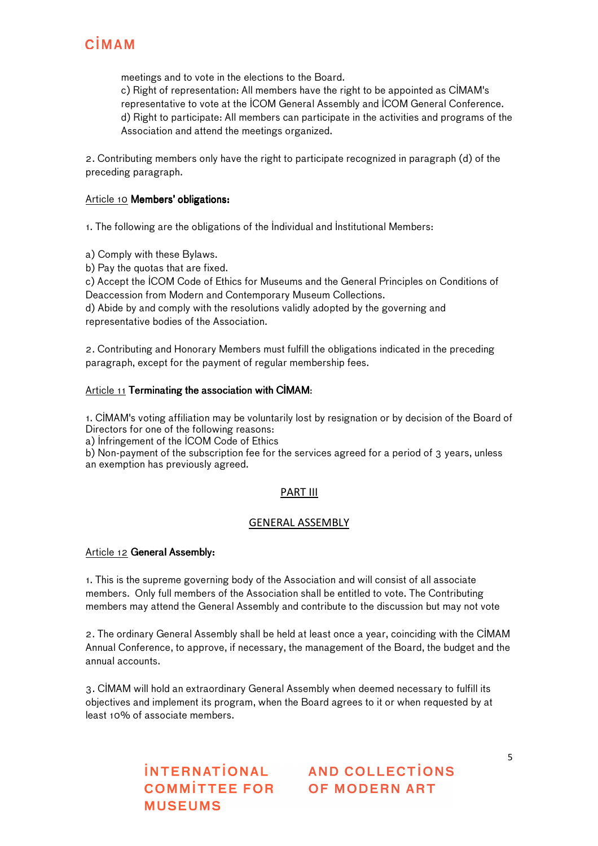meetings and to vote in the elections to the Board.

c) Right of representation: All members have the right to be appointed as CIMAM's representative to vote at the ICOM General Assembly and ICOM General Conference. d) Right to participate: All members can participate in the activities and programs of the Association and attend the meetings organized.

2. Contributing members only have the right to participate recognized in paragraph (d) of the preceding paragraph.

#### Article 10 **Members' obligations:**

1. The following are the obligations of the Individual and Institutional Members:

a) Comply with these Bylaws.

b) Pay the quotas that are fixed.

c) Accept the ICOM Code of Ethics for Museums and the General Principles on Conditions of Deaccession from Modern and Contemporary Museum Collections.

d) Abide by and comply with the resolutions validly adopted by the governing and representative bodies of the Association.

2. Contributing and Honorary Members must fulfill the obligations indicated in the preceding paragraph, except for the payment of regular membership fees.

#### Article  $11$  Terminating the association with CIMAM:

1. CIMAM's voting affiliation may be voluntarily lost by resignation or by decision of the Board of Directors for one of the following reasons:

a) Infringement of the ICOM Code of Ethics

b) Non-payment of the subscription fee for the services agreed for a period of 3 years, unless an exemption has previously agreed.

#### PART III

#### GENERAL ASSEMBLY

#### Article 12 General Assembly:

1. This is the supreme governing body of the Association and will consist of all associate members. Only full members of the Association shall be entitled to vote. The Contributing members may attend the General Assembly and contribute to the discussion but may not vote

2. The ordinary General Assembly shall be held at least once a year, coinciding with the CIMAM Annual Conference, to approve, if necessary, the management of the Board, the budget and the annual accounts.

3. CIMAM will hold an extraordinary General Assembly when deemed necessary to fulfill its objectives and implement its program, when the Board agrees to it or when requested by at least 10% of associate members.

**MUSEUMS**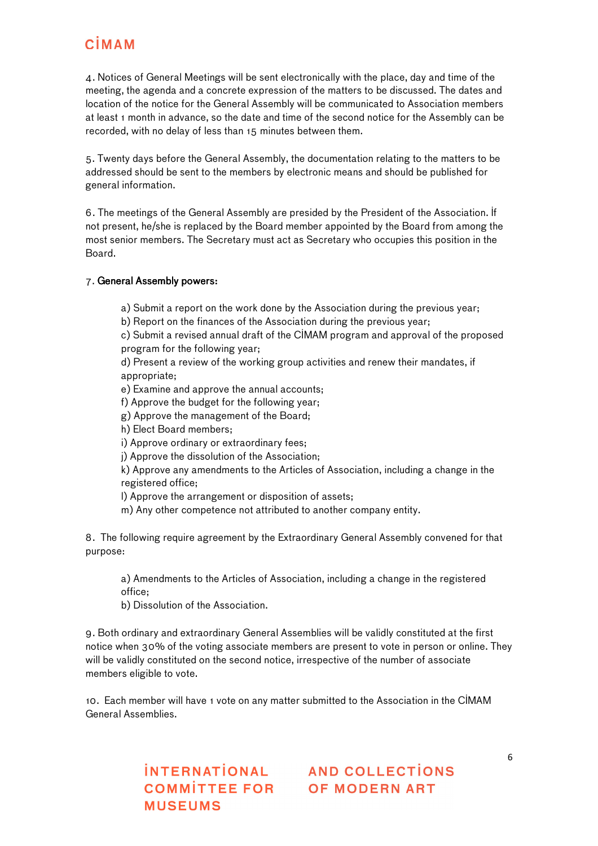4. Notices of General Meetings will be sent electronically with the place, day and time of the meeting, the agenda and a concrete expression of the matters to be discussed. The dates and location of the notice for the General Assembly will be communicated to Association members at least 1 month in advance, so the date and time of the second notice for the Assembly can be recorded, with no delay of less than 15 minutes between them.

5. Twenty days before the General Assembly, the documentation relating to the matters to be addressed should be sent to the members by electronic means and should be published for general information.

6. The meetings of the General Assembly are presided by the President of the Association. If not present, he/she is replaced by the Board member appointed by the Board from among the most senior members. The Secretary must act as Secretary who occupies this position in the Board.

#### 7. General Assembly powers:

a) Submit a report on the work done by the Association during the previous year;

b) Report on the finances of the Association during the previous year;

c) Submit a revised annual draft of the CIMAM program and approval of the proposed program for the following year;

d) Present a review of the working group activities and renew their mandates, if appropriate;

e) Examine and approve the annual accounts;

f) Approve the budget for the following year;

g) Approve the management of the Board;

h) Elect Board members;

- i) Approve ordinary or extraordinary fees;
- j) Approve the dissolution of the Association;

k) Approve any amendments to the Articles of Association, including a change in the registered office;

l) Approve the arrangement or disposition of assets;

m) Any other competence not attributed to another company entity.

8. The following require agreement by the Extraordinary General Assembly convened for that purpose:

a) Amendments to the Articles of Association, including a change in the registered office;

b) Dissolution of the Association.

9. Both ordinary and extraordinary General Assemblies will be validly constituted at the first notice when 30% of the voting associate members are present to vote in person or online. They will be validly constituted on the second notice, irrespective of the number of associate members eligible to vote.

10. Each member will have 1 vote on any matter submitted to the Association in the CIMAM General Assemblies.

**MUSEUMS**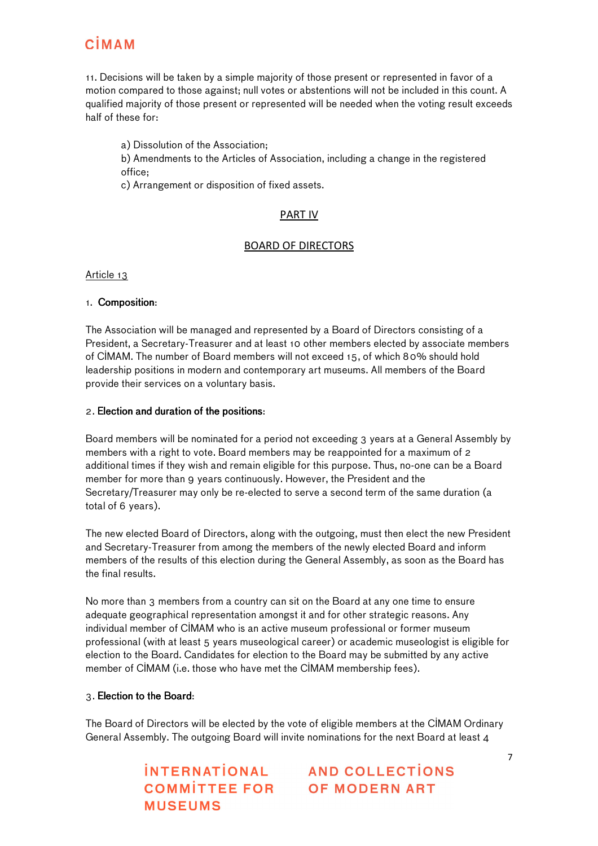11. Decisions will be taken by a simple majority of those present or represented in favor of a motion compared to those against; null votes or abstentions will not be included in this count. A qualified majority of those present or represented will be needed when the voting result exceeds half of these for:

a) Dissolution of the Association;

b) Amendments to the Articles of Association, including a change in the registered office;

c) Arrangement or disposition of fixed assets.

#### PART IV

#### BOARD OF DIRECTORS

Article 13

#### 1. Composition:

The Association will be managed and represented by a Board of Directors consisting of a President, a Secretary-Treasurer and at least 10 other members elected by associate members of CIMAM. The number of Board members will not exceed 15, of which 80% should hold leadership positions in modern and contemporary art museums. All members of the Board provide their services on a voluntary basis.

#### 2. Election and duration of the positions:

Board members will be nominated for a period not exceeding 3 years at a General Assembly by members with a right to vote. Board members may be reappointed for a maximum of 2 additional times if they wish and remain eligible for this purpose. Thus, no-one can be a Board member for more than 9 years continuously. However, the President and the Secretary/Treasurer may only be re-elected to serve a second term of the same duration (a total of 6 years).

The new elected Board of Directors, along with the outgoing, must then elect the new President and Secretary-Treasurer from among the members of the newly elected Board and inform members of the results of this election during the General Assembly, as soon as the Board has the final results.

No more than 3 members from a country can sit on the Board at any one time to ensure adequate geographical representation amongst it and for other strategic reasons. Any individual member of CIMAM who is an active museum professional or former museum professional (with at least 5 years museological career) or academic museologist is eligible for election to the Board. Candidates for election to the Board may be submitted by any active member of CIMAM (i.e. those who have met the CIMAM membership fees).

#### 3. Election to the Board:

The Board of Directors will be elected by the vote of eligible members at the CIMAM Ordinary General Assembly. The outgoing Board will invite nominations for the next Board at least 4

**MUSEUMS**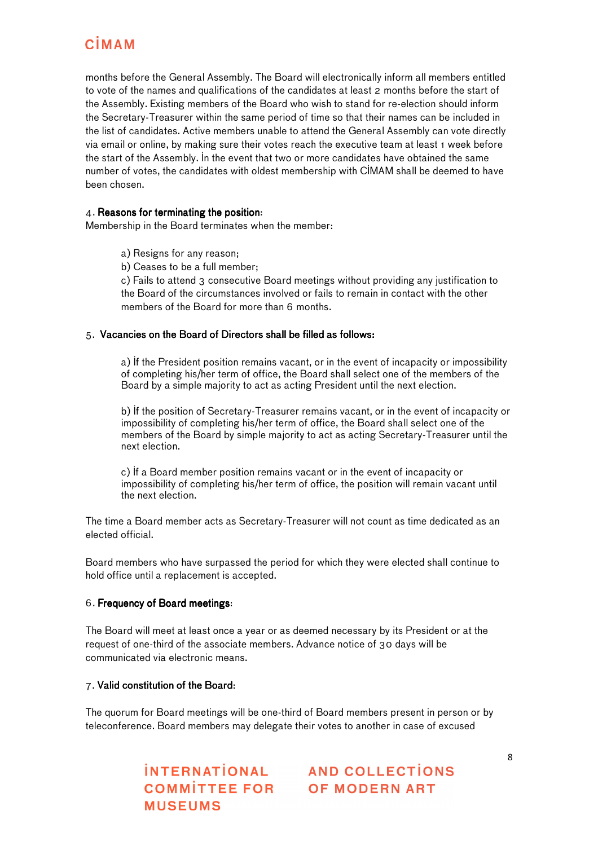months before the General Assembly. The Board will electronically inform all members entitled to vote of the names and qualifications of the candidates at least 2 months before the start of the Assembly. Existing members of the Board who wish to stand for re-election should inform the Secretary-Treasurer within the same period of time so that their names can be included in the list of candidates. Active members unable to attend the General Assembly can vote directly via email or online, by making sure their votes reach the executive team at least 1 week before the start of the Assembly. In the event that two or more candidates have obtained the same number of votes, the candidates with oldest membership with CIMAM shall be deemed to have been chosen.

#### 4. Reasons for terminating the position:

Membership in the Board terminates when the member:

- a) Resigns for any reason;
- b) Ceases to be a full member;

c) Fails to attend 3 consecutive Board meetings without providing any justification to the Board of the circumstances involved or fails to remain in contact with the other members of the Board for more than 6 months.

#### 5. Vacancies on the Board of Directors shall be filled as follows:

a) If the President position remains vacant, or in the event of incapacity or impossibility of completing his/her term of office, the Board shall select one of the members of the Board by a simple majority to act as acting President until the next election.

b) If the position of Secretary-Treasurer remains vacant, or in the event of incapacity or impossibility of completing his/her term of office, the Board shall select one of the members of the Board by simple majority to act as acting Secretary-Treasurer until the next election.

c) If a Board member position remains vacant or in the event of incapacity or impossibility of completing his/her term of office, the position will remain vacant until the next election.

The time a Board member acts as Secretary-Treasurer will not count as time dedicated as an elected official.

Board members who have surpassed the period for which they were elected shall continue to hold office until a replacement is accepted.

#### 6. Frequency of Board meetings:

The Board will meet at least once a year or as deemed necessary by its President or at the request of one-third of the associate members. Advance notice of 30 days will be communicated via electronic means.

#### 7. Valid constitution of the Board:

The quorum for Board meetings will be one-third of Board members present in person or by teleconference. Board members may delegate their votes to another in case of excused

**MUSEUMS**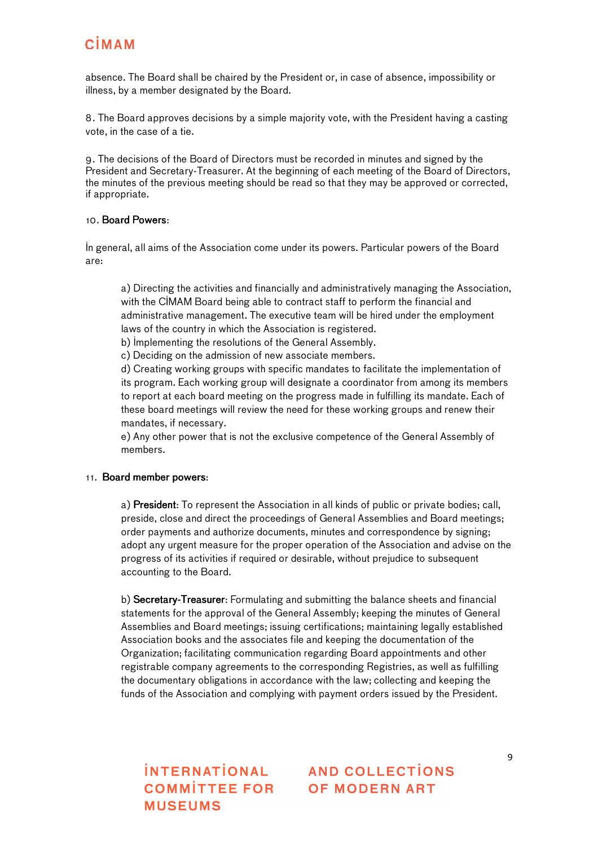absence. The Board shall be chaired by the President or, in case of absence, impossibility or illness, by a member designated by the Board.

8. The Board approves decisions by a simple majority vote, with the President having a casting vote, in the case of a tie.

9. The decisions of the Board of Directors must be recorded in minutes and signed by the President and Secretary-Treasurer. At the beginning of each meeting of the Board of Directors, the minutes of the previous meeting should be read so that they may be approved or corrected, if appropriate.

#### 10. Board Powers:

In general, all aims of the Association come under its powers. Particular powers of the Board are:

a) Directing the activities and financially and administratively managing the Association, with the CIMAM Board being able to contract staff to perform the financial and administrative management. The executive team will be hired under the employment laws of the country in which the Association is registered.

b) Implementing the resolutions of the General Assembly.

c) Deciding on the admission of new associate members.

d) Creating working groups with specific mandates to facilitate the implementation of its program. Each working group will designate a coordinator from among its members to report at each board meeting on the progress made in fulfilling its mandate. Each of these board meetings will review the need for these working groups and renew their mandates, if necessary.

e) Any other power that is not the exclusive competence of the General Assembly of members.

#### 11. Board member powers:

a) President: To represent the Association in all kinds of public or private bodies; call, preside, close and direct the proceedings of General Assemblies and Board meetings; order payments and authorize documents, minutes and correspondence by signing; adopt any urgent measure for the proper operation of the Association and advise on the progress of its activities if required or desirable, without prejudice to subsequent accounting to the Board.

b) Secretary-Treasurer: Formulating and submitting the balance sheets and financial statements for the approval of the General Assembly; keeping the minutes of General Assemblies and Board meetings; issuing certifications; maintaining legally established Association books and the associates file and keeping the documentation of the Organization; facilitating communication regarding Board appointments and other registrable company agreements to the corresponding Registries, as well as fulfilling the documentary obligations in accordance with the law; collecting and keeping the funds of the Association and complying with payment orders issued by the President.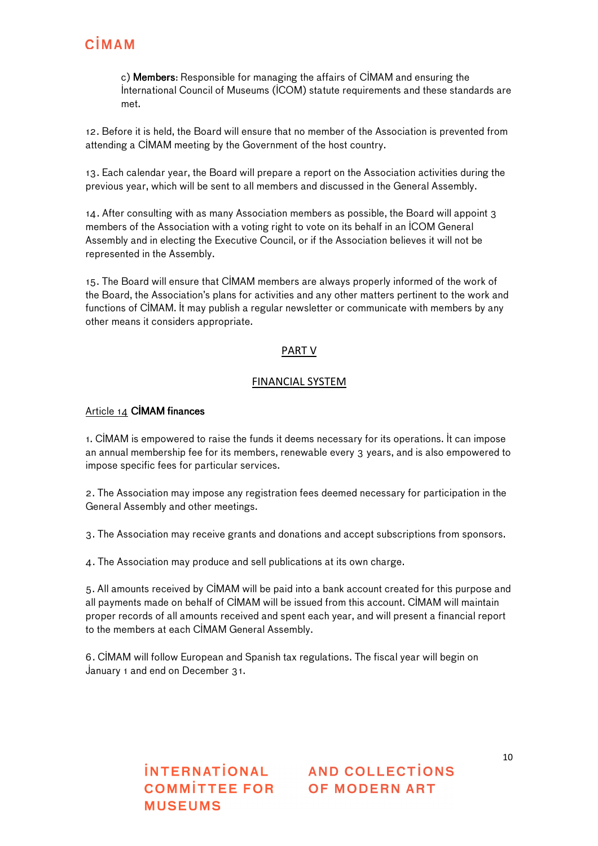c) Members: Responsible for managing the affairs of CIMAM and ensuring the International Council of Museums (ICOM) statute requirements and these standards are met.

12. Before it is held, the Board will ensure that no member of the Association is prevented from attending a CIMAM meeting by the Government of the host country.

13. Each calendar year, the Board will prepare a report on the Association activities during the previous year, which will be sent to all members and discussed in the General Assembly.

14. After consulting with as many Association members as possible, the Board will appoint 3 members of the Association with a voting right to vote on its behalf in an ICOM General Assembly and in electing the Executive Council, or if the Association believes it will not be represented in the Assembly.

15. The Board will ensure that CIMAM members are always properly informed of the work of the Board, the Association's plans for activities and any other matters pertinent to the work and functions of CIMAM. It may publish a regular newsletter or communicate with members by any other means it considers appropriate.

#### PART V

#### FINANCIAL SYSTEM

#### Article 14 CIMAM finances

1. CIMAM is empowered to raise the funds it deems necessary for its operations. It can impose an annual membership fee for its members, renewable every 3 years, and is also empowered to impose specific fees for particular services.

2. The Association may impose any registration fees deemed necessary for participation in the General Assembly and other meetings.

3. The Association may receive grants and donations and accept subscriptions from sponsors.

4. The Association may produce and sell publications at its own charge.

5. All amounts received by CIMAM will be paid into a bank account created for this purpose and all payments made on behalf of CIMAM will be issued from this account. CIMAM will maintain proper records of all amounts received and spent each year, and will present a financial report to the members at each CIMAM General Assembly.

6. CIMAM will follow European and Spanish tax regulations. The fiscal year will begin on January 1 and end on December 31.

**MUSEUMS**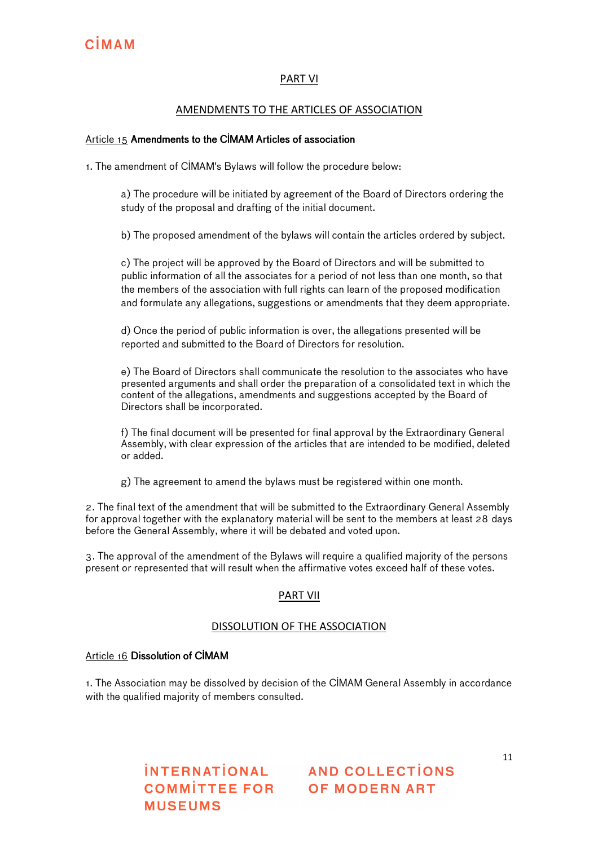#### PART VI

#### AMENDMENTS TO THE ARTICLES OF ASSOCIATION

#### Article 15 Amendments to the CIMAM Articles of association

1. The amendment of CIMAM's Bylaws will follow the procedure below:

a) The procedure will be initiated by agreement of the Board of Directors ordering the study of the proposal and drafting of the initial document.

b) The proposed amendment of the bylaws will contain the articles ordered by subject.

c) The project will be approved by the Board of Directors and will be submitted to public information of all the associates for a period of not less than one month, so that the members of the association with full rights can learn of the proposed modification and formulate any allegations, suggestions or amendments that they deem appropriate.

d) Once the period of public information is over, the allegations presented will be reported and submitted to the Board of Directors for resolution.

e) The Board of Directors shall communicate the resolution to the associates who have presented arguments and shall order the preparation of a consolidated text in which the content of the allegations, amendments and suggestions accepted by the Board of Directors shall be incorporated.

f) The final document will be presented for final approval by the Extraordinary General Assembly, with clear expression of the articles that are intended to be modified, deleted or added.

g) The agreement to amend the bylaws must be registered within one month.

2. The final text of the amendment that will be submitted to the Extraordinary General Assembly for approval together with the explanatory material will be sent to the members at least 28 days before the General Assembly, where it will be debated and voted upon.

3. The approval of the amendment of the Bylaws will require a qualified majority of the persons present or represented that will result when the affirmative votes exceed half of these votes.

#### PART VII

#### DISSOLUTION OF THE ASSOCIATION

#### Article 16 Dissolution of CIMAM

1. The Association may be dissolved by decision of the CIMAM General Assembly in accordance with the qualified majority of members consulted.

**MUSEUMS**